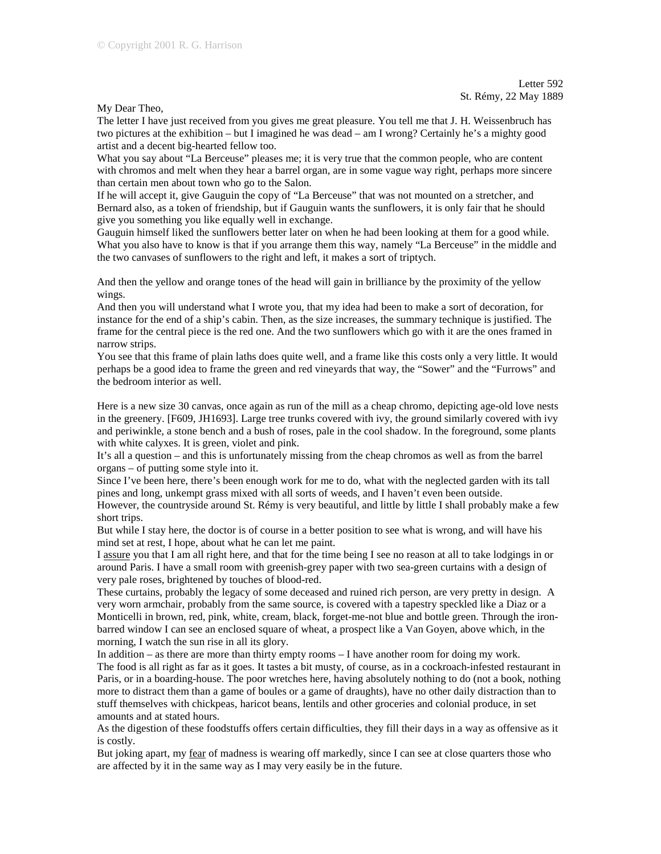My Dear Theo,

The letter I have just received from you gives me great pleasure. You tell me that J. H. Weissenbruch has two pictures at the exhibition – but I imagined he was dead – am I wrong? Certainly he's a mighty good artist and a decent big-hearted fellow too.

What you say about "La Berceuse" pleases me; it is very true that the common people, who are content with chromos and melt when they hear a barrel organ, are in some vague way right, perhaps more sincere than certain men about town who go to the Salon.

If he will accept it, give Gauguin the copy of "La Berceuse" that was not mounted on a stretcher, and Bernard also, as a token of friendship, but if Gauguin wants the sunflowers, it is only fair that he should give you something you like equally well in exchange.

Gauguin himself liked the sunflowers better later on when he had been looking at them for a good while. What you also have to know is that if you arrange them this way, namely "La Berceuse" in the middle and the two canvases of sunflowers to the right and left, it makes a sort of triptych.

And then the yellow and orange tones of the head will gain in brilliance by the proximity of the yellow wings.

And then you will understand what I wrote you, that my idea had been to make a sort of decoration, for instance for the end of a ship's cabin. Then, as the size increases, the summary technique is justified. The frame for the central piece is the red one. And the two sunflowers which go with it are the ones framed in narrow strips.

You see that this frame of plain laths does quite well, and a frame like this costs only a very little. It would perhaps be a good idea to frame the green and red vineyards that way, the "Sower" and the "Furrows" and the bedroom interior as well.

Here is a new size 30 canvas, once again as run of the mill as a cheap chromo, depicting age-old love nests in the greenery. [F609, JH1693]. Large tree trunks covered with ivy, the ground similarly covered with ivy and periwinkle, a stone bench and a bush of roses, pale in the cool shadow. In the foreground, some plants with white calyxes. It is green, violet and pink.

It's all a question – and this is unfortunately missing from the cheap chromos as well as from the barrel organs – of putting some style into it.

Since I've been here, there's been enough work for me to do, what with the neglected garden with its tall pines and long, unkempt grass mixed with all sorts of weeds, and I haven't even been outside.

However, the countryside around St. Rémy is very beautiful, and little by little I shall probably make a few short trips.

But while I stay here, the doctor is of course in a better position to see what is wrong, and will have his mind set at rest, I hope, about what he can let me paint.

I assure you that I am all right here, and that for the time being I see no reason at all to take lodgings in or around Paris. I have a small room with greenish-grey paper with two sea-green curtains with a design of very pale roses, brightened by touches of blood-red.

These curtains, probably the legacy of some deceased and ruined rich person, are very pretty in design. A very worn armchair, probably from the same source, is covered with a tapestry speckled like a Diaz or a Monticelli in brown, red, pink, white, cream, black, forget-me-not blue and bottle green. Through the ironbarred window I can see an enclosed square of wheat, a prospect like a Van Goyen, above which, in the morning, I watch the sun rise in all its glory.

In addition – as there are more than thirty empty rooms – I have another room for doing my work.

The food is all right as far as it goes. It tastes a bit musty, of course, as in a cockroach-infested restaurant in Paris, or in a boarding-house. The poor wretches here, having absolutely nothing to do (not a book, nothing more to distract them than a game of boules or a game of draughts), have no other daily distraction than to stuff themselves with chickpeas, haricot beans, lentils and other groceries and colonial produce, in set amounts and at stated hours.

As the digestion of these foodstuffs offers certain difficulties, they fill their days in a way as offensive as it is costly.

But joking apart, my <u>fear</u> of madness is wearing off markedly, since I can see at close quarters those who are affected by it in the same way as I may very easily be in the future.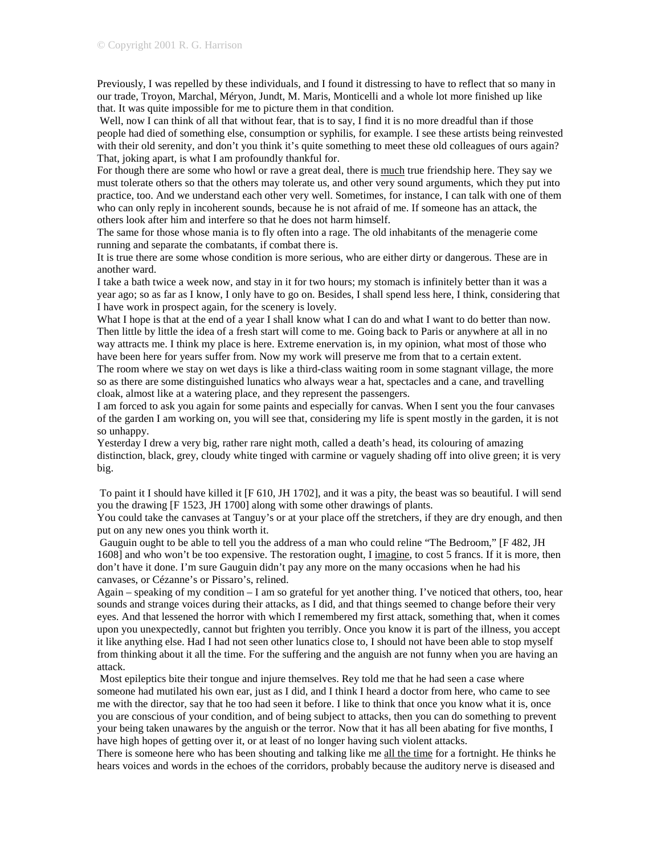Previously, I was repelled by these individuals, and I found it distressing to have to reflect that so many in our trade, Troyon, Marchal, Méryon, Jundt, M. Maris, Monticelli and a whole lot more finished up like that. It was quite impossible for me to picture them in that condition.

Well, now I can think of all that without fear, that is to say, I find it is no more dreadful than if those people had died of something else, consumption or syphilis, for example. I see these artists being reinvested with their old serenity, and don't you think it's quite something to meet these old colleagues of ours again? That, joking apart, is what I am profoundly thankful for.

For though there are some who howl or rave a great deal, there is much true friendship here. They say we must tolerate others so that the others may tolerate us, and other very sound arguments, which they put into practice, too. And we understand each other very well. Sometimes, for instance, I can talk with one of them who can only reply in incoherent sounds, because he is not afraid of me. If someone has an attack, the others look after him and interfere so that he does not harm himself.

The same for those whose mania is to fly often into a rage. The old inhabitants of the menagerie come running and separate the combatants, if combat there is.

It is true there are some whose condition is more serious, who are either dirty or dangerous. These are in another ward.

I take a bath twice a week now, and stay in it for two hours; my stomach is infinitely better than it was a year ago; so as far as I know, I only have to go on. Besides, I shall spend less here, I think, considering that I have work in prospect again, for the scenery is lovely.

What I hope is that at the end of a year I shall know what I can do and what I want to do better than now. Then little by little the idea of a fresh start will come to me. Going back to Paris or anywhere at all in no way attracts me. I think my place is here. Extreme enervation is, in my opinion, what most of those who have been here for years suffer from. Now my work will preserve me from that to a certain extent.

The room where we stay on wet days is like a third-class waiting room in some stagnant village, the more so as there are some distinguished lunatics who always wear a hat, spectacles and a cane, and travelling cloak, almost like at a watering place, and they represent the passengers.

I am forced to ask you again for some paints and especially for canvas. When I sent you the four canvases of the garden I am working on, you will see that, considering my life is spent mostly in the garden, it is not so unhappy.

Yesterday I drew a very big, rather rare night moth, called a death's head, its colouring of amazing distinction, black, grey, cloudy white tinged with carmine or vaguely shading off into olive green; it is very big.

 To paint it I should have killed it [F 610, JH 1702], and it was a pity, the beast was so beautiful. I will send you the drawing [F 1523, JH 1700] along with some other drawings of plants.

You could take the canvases at Tanguy's or at your place off the stretchers, if they are dry enough, and then put on any new ones you think worth it.

 Gauguin ought to be able to tell you the address of a man who could reline "The Bedroom," [F 482, JH 1608] and who won't be too expensive. The restoration ought, I imagine, to cost 5 francs. If it is more, then don't have it done. I'm sure Gauguin didn't pay any more on the many occasions when he had his canvases, or Cézanne's or Pissaro's, relined.

Again – speaking of my condition – I am so grateful for yet another thing. I've noticed that others, too, hear sounds and strange voices during their attacks, as I did, and that things seemed to change before their very eyes. And that lessened the horror with which I remembered my first attack, something that, when it comes upon you unexpectedly, cannot but frighten you terribly. Once you know it is part of the illness, you accept it like anything else. Had I had not seen other lunatics close to, I should not have been able to stop myself from thinking about it all the time. For the suffering and the anguish are not funny when you are having an attack.

 Most epileptics bite their tongue and injure themselves. Rey told me that he had seen a case where someone had mutilated his own ear, just as I did, and I think I heard a doctor from here, who came to see me with the director, say that he too had seen it before. I like to think that once you know what it is, once you are conscious of your condition, and of being subject to attacks, then you can do something to prevent your being taken unawares by the anguish or the terror. Now that it has all been abating for five months, I have high hopes of getting over it, or at least of no longer having such violent attacks.

There is someone here who has been shouting and talking like me all the time for a fortnight. He thinks he hears voices and words in the echoes of the corridors, probably because the auditory nerve is diseased and